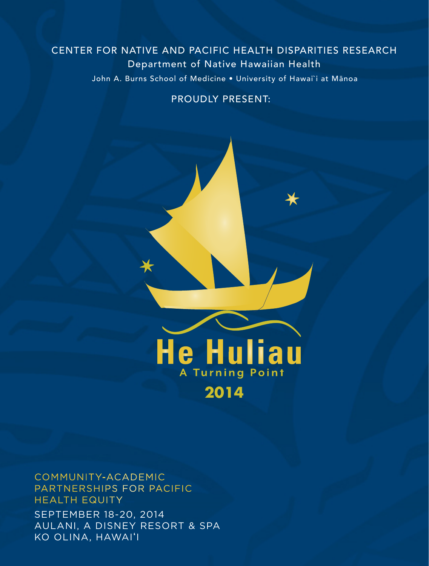### John A. Burns School of Medicine . University of Hawai'i at Mānoa CENTER FOR NATIVE AND PACIFIC HEALTH DISPARITIES RESEARCH Department of Native Hawaiian Health

#### PROUDLY PRESENT:



#### COMMUNITY-ACADEMIC PARTNERSHIPS FOR PACIFIC HEALTH EQUITY

SEPTEMBER 18-20, 2014 AULANI, A DISNEY RESORT & SPA KO OLINA, HAWAI'I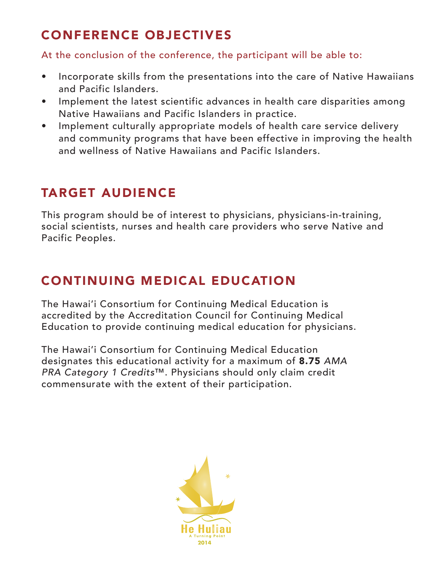### CONFERENCE OBJECTIVES

At the conclusion of the conference, the participant will be able to:

- Incorporate skills from the presentations into the care of Native Hawaiians and Pacific Islanders.
- Implement the latest scientific advances in health care disparities among Native Hawaiians and Pacific Islanders in practice.
- Implement culturally appropriate models of health care service delivery and community programs that have been effective in improving the health and wellness of Native Hawaiians and Pacific Islanders.

## TARGET AUDIENCE

This program should be of interest to physicians, physicians-in-training, social scientists, nurses and health care providers who serve Native and Pacific Peoples.

### CONTINUING MEDICAL EDUCATION

The Hawai'i Consortium for Continuing Medical Education is accredited by the Accreditation Council for Continuing Medical Education to provide continuing medical education for physicians.

The Hawai'i Consortium for Continuing Medical Education designates this educational activity for a maximum of 8.75 *AMA PRA Category 1 Credits*™. Physicians should only claim credit commensurate with the extent of their participation.

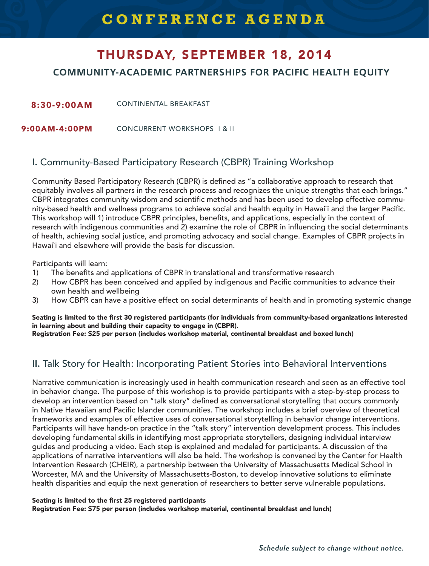# THURSDAY, SEPTEMBER 18, 2014

**COMMUNITY-ACADEMIC PARTNERSHIPS FOR PACIFIC HEALTH EQUITY**

8:30-9:00AM CONTINENTAL BREAKFAST

 $9:00AM - 4:00PM$ CONCURRENT WORKSHOPS Ⅰ & II

#### I. Community-Based Participatory Research (CBPR) Training Workshop

Community Based Participatory Research (CBPR) is defined as "a collaborative approach to research that equitably involves all partners in the research process and recognizes the unique strengths that each brings." CBPR integrates community wisdom and scientific methods and has been used to develop effective community-based health and wellness programs to achieve social and health equity in Hawai`i and the larger Pacific. This workshop will 1) introduce CBPR principles, benefits, and applications, especially in the context of research with indigenous communities and 2) examine the role of CBPR in influencing the social determinants of health, achieving social justice, and promoting advocacy and social change. Examples of CBPR projects in Hawai`i and elsewhere will provide the basis for discussion.

Participants will learn:

- 1) The benefits and applications of CBPR in translational and transformative research
- 2) How CBPR has been conceived and applied by indigenous and Pacific communities to advance their own health and wellbeing
- 3) How CBPR can have a positive effect on social determinants of health and in promoting systemic change

Seating is limited to the first 30 registered participants (for individuals from community-based organizations interested in learning about and building their capacity to engage in (CBPR). Registration Fee: \$25 per person (includes workshop material, continental breakfast and boxed lunch)

#### II. Talk Story for Health: Incorporating Patient Stories into Behavioral Interventions

Narrative communication is increasingly used in health communication research and seen as an effective tool in behavior change. The purpose of this workshop is to provide participants with a step-by-step process to develop an intervention based on "talk story" defined as conversational storytelling that occurs commonly in Native Hawaiian and Pacific Islander communities. The workshop includes a brief overview of theoretical frameworks and examples of effective uses of conversational storytelling in behavior change interventions. Participants will have hands-on practice in the "talk story" intervention development process. This includes developing fundamental skills in identifying most appropriate storytellers, designing individual interview guides and producing a video. Each step is explained and modeled for participants. A discussion of the applications of narrative interventions will also be held. The workshop is convened by the Center for Health Intervention Research (CHEIR), a partnership between the University of Massachusetts Medical School in Worcester, MA and the University of Massachusetts-Boston, to develop innovative solutions to eliminate health disparities and equip the next generation of researchers to better serve vulnerable populations.

#### Seating is limited to the first 25 registered participants

Registration Fee: \$75 per person (includes workshop material, continental breakfast and lunch)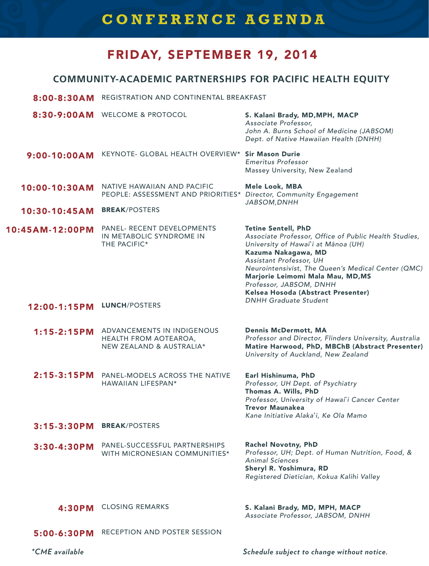### **CONFERENCE AGENDA**

### FRIDAY, SEPTEMBER 19, 2014

#### **COMMUNITY-ACADEMIC PARTNERSHIPS FOR PACIFIC HEALTH EQUITY**

- 8:00-8:30AM REGISTRATION AND CONTINENTAL BREAKFAST
- 8:30-9:00AM WELCOME & PROTOCOL S. Kalani Brady, MD,MPH, MACP *Associate Professor,* John A. Burns School of Medicine (JABSOM) Dept. of Native Hawaiian Health (DNHH)
- 9:00-10:00AM KEYNOTE- GLOBAL HEALTH OVERVIEW\* Sir Mason Durie *Emeritus Professor* Massey University, New Zealand
- 10:00-10:30AM NATIVE HAWAIIAN AND PACIFIC PEOPLE: ASSESSMENT AND PRIORITIES\* *Director, Community Engagement* Mele Look, MBA *JABSOM,DNHH*
- 10:30-10:45AM BREAK/POSTERS
- 10:45AM-12:00PM PANEL- RECENT DEVELOPMENTS IN METABOLIC SYNDROME IN THE PACIFIC\* Tetine Sentell, PhD *Associate Professor, Office of Public Health Studies, University of Hawai*�i at Mānoa (UH) Kazuma Nakagawa, MD

#### 12:00-1:15PM LUNCH/POSTERS

- 1:15-2:15PM ADVANCEMENTS IN INDIGENOUS HEALTH FROM AOTEAROA, NEW ZEALAND & AUSTRALIA\* Dennis McDermott, MA *Professor and Director, Flinders University, Australia* Matire Harwood, PhD, MBChB (Abstract Presenter) *University of Auckland, New Zealand*
- 2:15-3:15PM PANEL-MODELS ACROSS THE NATIVE HAWAIIAN LIFESPAN\*
- Earl Hishinuma, PhD *Professor, UH Dept. of Psychiatry* Thomas A. Wills, PhD *Professor, University of Hawai*�*i Cancer Center* Trevor Maunakea *Kane Initiative Alaka*�*i, Ke Ola Mamo*

Neurointensivist, The Queen's Medical Center (QMC)

Marjorie Leimomi Mala Mau, MD,MS

- 3:15-3:30PM BREAK/POSTERS
- 3:30-4:30PM PANEL-SUCCESSFUL PARTNERSHIPS WITH MICRONESIAN COMMUNITIES\* Rachel Novotny, PhD *Professor, UH; Dept. of Human Nutrition, Food, & Animal Sciences*
	- Sheryl R. Yoshimura, RD *Registered Dietician, Kokua Kalihi Valley*

*Assistant Professor, UH* 

*Professor, JABSOM, DNHH* Kelsea Hosoda (Abstract Presenter)

*DNHH Graduate Student*

#### 4:30PM CLOSING REMARKS

5:00-6:30PM RECEPTION AND POSTER SESSION

*\*CME available*

*Schedule subject to change without notice.*

S. Kalani Brady, MD, MPH, MACP *Associate Professor, JABSOM, DNHH*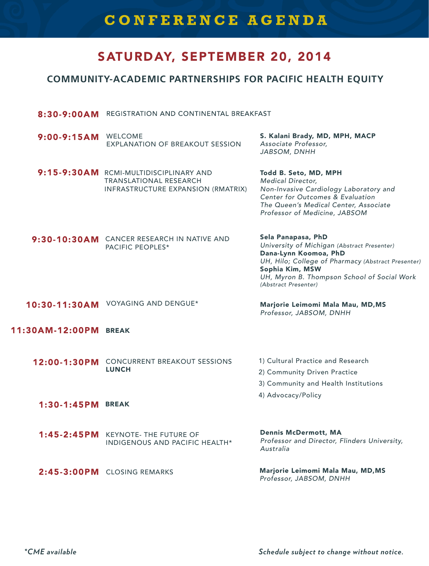### **CONFERENCE AGENDA**

### SATURDAY, SEPTEMBER 20, 2014

#### **COMMUNITY-ACADEMIC PARTNERSHIPS FOR PACIFIC HEALTH EQUITY**

- 8:30-9:00AM REGISTRATION AND CONTINENTAL BREAKFAST
- 9:00-9:15AM WELCOME EXPLANATION OF BREAKOUT SESSION *Associate Professor,*
- 9:15-9:30AM RCMI-MULTIDISCIPLINARY AND TRANSLATIONAL RESEARCH INFRASTRUCTURE EXPANSION (RMATRIX)

S. Kalani Brady, MD, MPH, MACP *JABSOM, DNHH*

Todd B. Seto, MD, MPH *Medical Director, Non-Invasive Cardiology Laboratory and Center for Outcomes & Evaluation The Queen's Medical Center, Associate Professor of Medicine, JABSOM*

9:30-10:30AM CANCER RESEARCH IN NATIVE AND PACIFIC PEOPLES\*

Sela Panapasa, PhD *University of Michigan* (Abstract Presenter) Dana-Lynn Koomoa, PhD *UH, Hilo; College of Pharmacy* (Abstract Presenter) Sophia Kim, MSW *UH, Myron B. Thompson School of Social Work*  (Abstract Presenter)

10:30-11:30AM VOYAGING AND DENGUE\*

Marjorie Leimomi Mala Mau, MD,MS *Professor, JABSOM, DNHH*

#### 11:30AM-12:00PM BREAK

- 1) Cultural Practice and Research 2) Community Driven Practice 12:00-1:30PM CONCURRENT BREAKOUT SESSIONS **LUNCH** 
	- 3) Community and Health Institutions
	- 4) Advocacy/Policy

- 1:30-1:45PM BREAK
- 1:45-2:45PM KEYNOTE- THE FUTURE OF INDIGENOUS AND PACIFIC HEALTH\* *Australia*
- $2:45-3:00PM$  CLOSING REMARKS

Dennis McDermott, MA *Professor and Director, Flinders University,* 

Marjorie Leimomi Mala Mau, MD,MS *Professor, JABSOM, DNHH*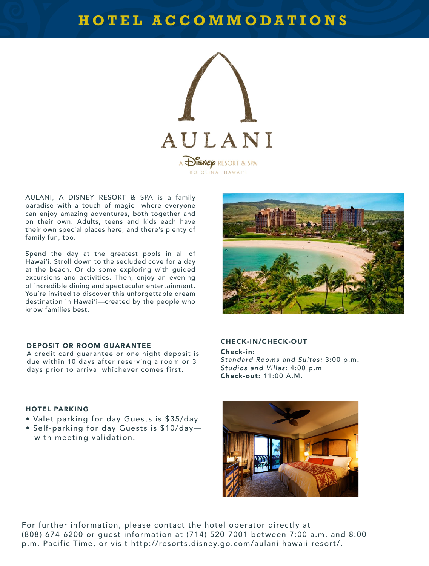### **HOTEL ACCOMMODATIONS**



AULANI, A DISNEY RESORT & SPA is a family paradise with a touch of magic—where everyone can enjoy amazing adventures, both together and on their own. Adults, teens and kids each have their own special places here, and there's plenty of family fun, too.

Spend the day at the greatest pools in all of Hawai'i. Stroll down to the secluded cove for a day at the beach. Or do some exploring with guided excursions and activities. Then, enjoy an evening of incredible dining and spectacular entertainment. You're invited to discover this unforgettable dream destination in Hawai'i—created by the people who know families best.



#### DEPOSIT OR ROOM GUARANTEE CHECK-IN/CHECK-OUT

A credit card guarantee or one night deposit is due within 10 days after reserving a room or 3 days prior to arrival whichever comes first.

Check-in: *Standard Rooms and Suites:* 3:00 p.m. *Studios and Villas:* 4:00 p.m Check-out: 11:00 A.M.

#### HOTEL PARKING

- Valet parking for day Guests is \$35/day
- Self-parking for day Guests is \$10/day with meeting validation.



For further information, please contact the hotel operator directly at (808) 674-6200 or guest information at (714) 520-7001 between 7:00 a.m. and 8:00 p.m. Pacific Time, or visit http://resorts.disney.go.com/aulani-hawaii-resort/.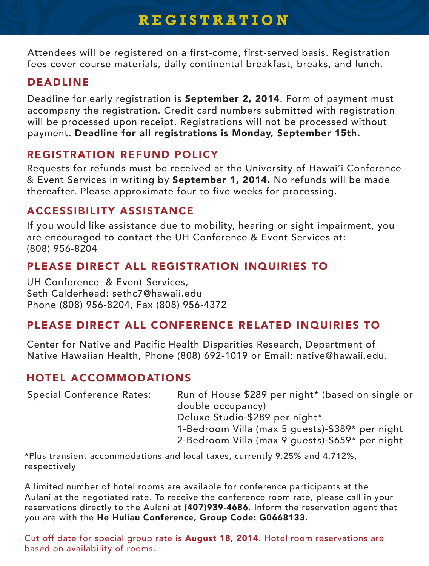### **REGISTRATION**

Attendees will be registered on a first-come, first-served basis. Registration fees cover course materials, daily continental breakfast, breaks, and lunch.

### DEADLINE

Deadline for early registration is September 2, 2014. Form of payment must accompany the registration. Credit card numbers submitted with registration will be processed upon receipt. Registrations will not be processed without payment. Deadline for all registrations is Monday, September 15th.

#### REGISTRATION REFUND POLICY

Requests for refunds must be received at the University of Hawai'i Conference & Event Services in writing by September 1, 2014. No refunds will be made thereafter. Please approximate four to five weeks for processing.

### ACCESSIBILITY ASSISTANCE

If you would like assistance due to mobility, hearing or sight impairment, you are encouraged to contact the UH Conference & Event Services at: (808) 956-8204

### PLEASE DIRECT ALL REGISTRATION INQUIRIES TO

UH Conference & Event Services, Seth Calderhead: sethc7@hawaii.edu Phone (808) 956-8204, Fax (808) 956-4372

### PLEASE DIRECT ALL CONFERENCE RELATED INQUIRIES TO

Center for Native and Pacific Health Disparities Research, Department of Native Hawaiian Health, Phone (808) 692-1019 or Email: native@hawaii.edu.

#### HOTEL ACCOMMODATIONS

| <b>Special Conference Rates:</b> | Run of House \$289 per night* (based on single or |
|----------------------------------|---------------------------------------------------|
|                                  | double occupancy)                                 |
|                                  | Deluxe Studio-\$289 per night*                    |
|                                  | 1-Bedroom Villa (max 5 guests)-\$389* per night   |
|                                  | 2-Bedroom Villa (max 9 guests)-\$659* per night   |

\*Plus transient accommodations and local taxes, currently 9.25% and 4.712%, respectively

A limited number of hotel rooms are available for conference participants at the Aulani at the negotiated rate. To receive the conference room rate, please call in your reservations directly to the Aulani at (407)939-4686. Inform the reservation agent that you are with the He Huliau Conference, Group Code: G0668133.

Cut off date for special group rate is **August 18, 2014**. Hotel room reservations are based on availability of rooms.